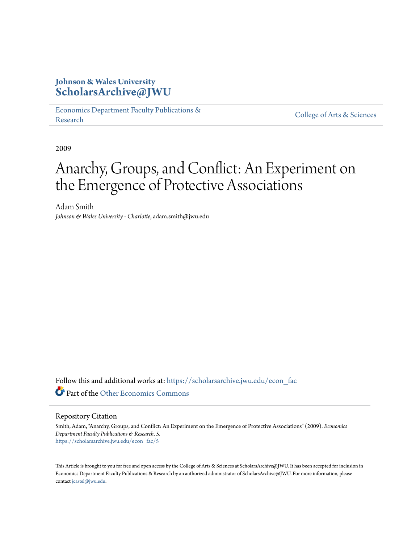# **Johnson & Wales University [ScholarsArchive@JWU](https://scholarsarchive.jwu.edu?utm_source=scholarsarchive.jwu.edu%2Fecon_fac%2F5&utm_medium=PDF&utm_campaign=PDFCoverPages)**

[Economics Department Faculty Publications &](https://scholarsarchive.jwu.edu/econ_fac?utm_source=scholarsarchive.jwu.edu%2Fecon_fac%2F5&utm_medium=PDF&utm_campaign=PDFCoverPages) [Research](https://scholarsarchive.jwu.edu/econ_fac?utm_source=scholarsarchive.jwu.edu%2Fecon_fac%2F5&utm_medium=PDF&utm_campaign=PDFCoverPages) [College of Arts & Sciences](https://scholarsarchive.jwu.edu/arts_sciences?utm_source=scholarsarchive.jwu.edu%2Fecon_fac%2F5&utm_medium=PDF&utm_campaign=PDFCoverPages)

2009

# Anarchy, Groups, and Conflict: An Experiment on the Emergence of Protective Associations

Adam Smith *Johnson & Wales University - Charlotte*, adam.smith@jwu.edu

Follow this and additional works at: [https://scholarsarchive.jwu.edu/econ\\_fac](https://scholarsarchive.jwu.edu/econ_fac?utm_source=scholarsarchive.jwu.edu%2Fecon_fac%2F5&utm_medium=PDF&utm_campaign=PDFCoverPages) Part of the [Other Economics Commons](http://network.bepress.com/hgg/discipline/353?utm_source=scholarsarchive.jwu.edu%2Fecon_fac%2F5&utm_medium=PDF&utm_campaign=PDFCoverPages)

Repository Citation

Smith, Adam, "Anarchy, Groups, and Conflict: An Experiment on the Emergence of Protective Associations" (2009). *Economics Department Faculty Publications & Research*. 5. [https://scholarsarchive.jwu.edu/econ\\_fac/5](https://scholarsarchive.jwu.edu/econ_fac/5?utm_source=scholarsarchive.jwu.edu%2Fecon_fac%2F5&utm_medium=PDF&utm_campaign=PDFCoverPages)

This Article is brought to you for free and open access by the College of Arts & Sciences at ScholarsArchive@JWU. It has been accepted for inclusion in Economics Department Faculty Publications & Research by an authorized administrator of ScholarsArchive@JWU. For more information, please contact [jcastel@jwu.edu.](mailto:jcastel@jwu.edu)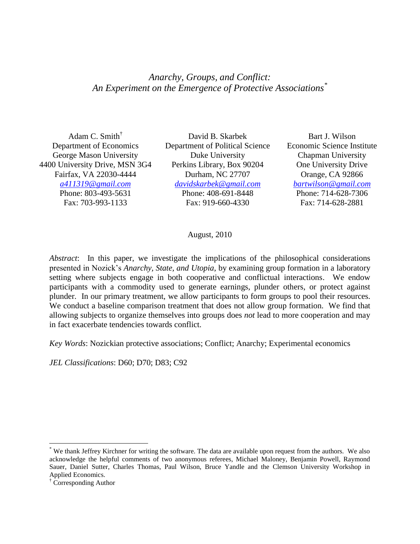# *Anarchy, Groups, and Conflict: An Experiment on the Emergence of Protective Associations\**

Adam C. Smith† Department of Economics George Mason University 4400 University Drive, MSN 3G4 Fairfax, VA 22030-4444 *[a411319@gmail.com](mailto:a411319@gmail.com)* Phone: 803-493-5631 Fax: 703-993-1133

David B. Skarbek Department of Political Science Duke University Perkins Library, Box 90204 Durham, NC 27707 *[davidskarbek@gmail.com](mailto:davidskarbek@gmail.com)* Phone: 408-691-8448 Fax: 919-660-4330

Bart J. Wilson Economic Science Institute Chapman University One University Drive Orange, CA 92866 *[bartwilson@gmail.com](mailto:bartwilson@gmail.com)* Phone: 714-628-7306 Fax: 714-628-2881

August, 2010

*Abstract*:In this paper, we investigate the implications of the philosophical considerations presented in Nozick's *Anarchy, State, and Utopia*, by examining group formation in a laboratory setting where subjects engage in both cooperative and conflictual interactions. We endow participants with a commodity used to generate earnings, plunder others, or protect against plunder. In our primary treatment, we allow participants to form groups to pool their resources. We conduct a baseline comparison treatment that does not allow group formation. We find that allowing subjects to organize themselves into groups does *not* lead to more cooperation and may in fact exacerbate tendencies towards conflict.

*Key Words*: Nozickian protective associations; Conflict; Anarchy; Experimental economics

*JEL Classifications*: D60; D70; D83; C92

 $\overline{a}$ 

<sup>\*</sup> We thank Jeffrey Kirchner for writing the software. The data are available upon request from the authors. We also acknowledge the helpful comments of two anonymous referees, Michael Maloney, Benjamin Powell, Raymond Sauer, Daniel Sutter, Charles Thomas, Paul Wilson, Bruce Yandle and the Clemson University Workshop in Applied Economics.

<sup>†</sup> Corresponding Author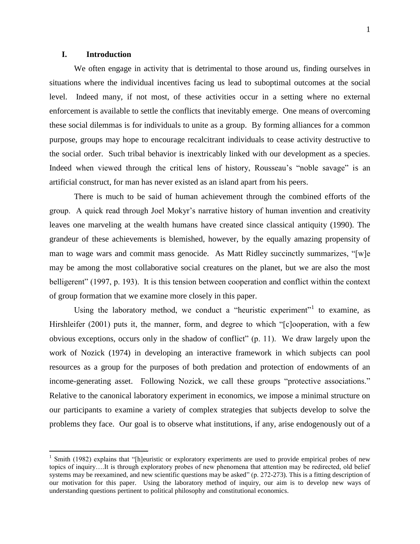#### **I. Introduction**

 $\overline{a}$ 

We often engage in activity that is detrimental to those around us, finding ourselves in situations where the individual incentives facing us lead to suboptimal outcomes at the social level. Indeed many, if not most, of these activities occur in a setting where no external enforcement is available to settle the conflicts that inevitably emerge. One means of overcoming these social dilemmas is for individuals to unite as a group. By forming alliances for a common purpose, groups may hope to encourage recalcitrant individuals to cease activity destructive to the social order. Such tribal behavior is inextricably linked with our development as a species. Indeed when viewed through the critical lens of history, Rousseau's "noble savage" is an artificial construct, for man has never existed as an island apart from his peers.

There is much to be said of human achievement through the combined efforts of the group. A quick read through Joel Mokyr's narrative history of human invention and creativity leaves one marveling at the wealth humans have created since classical antiquity (1990). The grandeur of these achievements is blemished, however, by the equally amazing propensity of man to wage wars and commit mass genocide. As Matt Ridley succinctly summarizes, "[w]e may be among the most collaborative social creatures on the planet, but we are also the most belligerent" (1997, p. 193). It is this tension between cooperation and conflict within the context of group formation that we examine more closely in this paper.

Using the laboratory method, we conduct a "heuristic experiment"<sup>1</sup> to examine, as Hirshleifer (2001) puts it, the manner, form, and degree to which "[c]ooperation, with a few obvious exceptions, occurs only in the shadow of conflict"  $(p, 11)$ . We draw largely upon the work of Nozick (1974) in developing an interactive framework in which subjects can pool resources as a group for the purposes of both predation and protection of endowments of an income-generating asset. Following Nozick, we call these groups "protective associations." Relative to the canonical laboratory experiment in economics, we impose a minimal structure on our participants to examine a variety of complex strategies that subjects develop to solve the problems they face. Our goal is to observe what institutions, if any, arise endogenously out of a

<sup>&</sup>lt;sup>1</sup> Smith (1982) explains that "[h]euristic or exploratory experiments are used to provide empirical probes of new topics of inquiry….It is through exploratory probes of new phenomena that attention may be redirected, old belief systems may be reexamined, and new scientific questions may be asked" (p. 272-273). This is a fitting description of our motivation for this paper. Using the laboratory method of inquiry, our aim is to develop new ways of understanding questions pertinent to political philosophy and constitutional economics.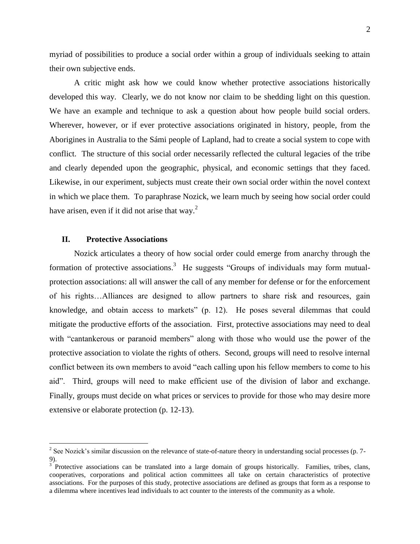myriad of possibilities to produce a social order within a group of individuals seeking to attain their own subjective ends.

A critic might ask how we could know whether protective associations historically developed this way. Clearly, we do not know nor claim to be shedding light on this question. We have an example and technique to ask a question about how people build social orders. Wherever, however, or if ever protective associations originated in history, people, from the Aborigines in Australia to the Sámi people of Lapland, had to create a social system to cope with conflict. The structure of this social order necessarily reflected the cultural legacies of the tribe and clearly depended upon the geographic, physical, and economic settings that they faced. Likewise, in our experiment, subjects must create their own social order within the novel context in which we place them. To paraphrase Nozick, we learn much by seeing how social order could have arisen, even if it did not arise that way. $2^2$ 

# **II. Protective Associations**

 $\overline{a}$ 

Nozick articulates a theory of how social order could emerge from anarchy through the formation of protective associations.<sup>3</sup> He suggests "Groups of individuals may form mutualprotection associations: all will answer the call of any member for defense or for the enforcement of his rights…Alliances are designed to allow partners to share risk and resources, gain knowledge, and obtain access to markets" (p. 12). He poses several dilemmas that could mitigate the productive efforts of the association. First, protective associations may need to deal with "cantankerous or paranoid members" along with those who would use the power of the protective association to violate the rights of others. Second, groups will need to resolve internal conflict between its own members to avoid "each calling upon his fellow members to come to his aid". Third, groups will need to make efficient use of the division of labor and exchange. Finally, groups must decide on what prices or services to provide for those who may desire more extensive or elaborate protection (p. 12-13).

 $2^2$  See Nozick's similar discussion on the relevance of state-of-nature theory in understanding social processes (p. 7-9).

 $3$  Protective associations can be translated into a large domain of groups historically. Families, tribes, clans, cooperatives, corporations and political action committees all take on certain characteristics of protective associations. For the purposes of this study, protective associations are defined as groups that form as a response to a dilemma where incentives lead individuals to act counter to the interests of the community as a whole.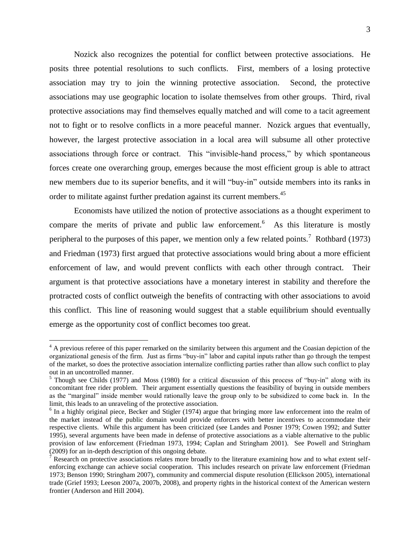Nozick also recognizes the potential for conflict between protective associations. He posits three potential resolutions to such conflicts. First, members of a losing protective association may try to join the winning protective association. Second, the protective associations may use geographic location to isolate themselves from other groups. Third, rival protective associations may find themselves equally matched and will come to a tacit agreement not to fight or to resolve conflicts in a more peaceful manner. Nozick argues that eventually, however, the largest protective association in a local area will subsume all other protective associations through force or contract. This "invisible-hand process," by which spontaneous forces create one overarching group, emerges because the most efficient group is able to attract new members due to its superior benefits, and it will "buy-in" outside members into its ranks in order to militate against further predation against its current members.<sup>45</sup>

Economists have utilized the notion of protective associations as a thought experiment to compare the merits of private and public law enforcement. As this literature is mostly peripheral to the purposes of this paper, we mention only a few related points.<sup>7</sup> Rothbard (1973) and Friedman (1973) first argued that protective associations would bring about a more efficient enforcement of law, and would prevent conflicts with each other through contract. Their argument is that protective associations have a monetary interest in stability and therefore the protracted costs of conflict outweigh the benefits of contracting with other associations to avoid this conflict. This line of reasoning would suggest that a stable equilibrium should eventually emerge as the opportunity cost of conflict becomes too great.

 $\overline{a}$ 

<sup>&</sup>lt;sup>4</sup> A previous referee of this paper remarked on the similarity between this argument and the Coasian depiction of the organizational genesis of the firm. Just as firms "buy-in" labor and capital inputs rather than go through the tempest of the market, so does the protective association internalize conflicting parties rather than allow such conflict to play out in an uncontrolled manner.

 $5$  Though see Childs (1977) and Moss (1980) for a critical discussion of this process of "buy-in" along with its concomitant free rider problem. Their argument essentially questions the feasibility of buying in outside members as the "marginal" inside member would rationally leave the group only to be subsidized to come back in. In the limit, this leads to an unraveling of the protective association.

<sup>&</sup>lt;sup>6</sup> In a highly original piece, Becker and Stigler (1974) argue that bringing more law enforcement into the realm of the market instead of the public domain would provide enforcers with better incentives to accommodate their respective clients. While this argument has been criticized (see Landes and Posner 1979; Cowen 1992; and Sutter 1995), several arguments have been made in defense of protective associations as a viable alternative to the public provision of law enforcement (Friedman 1973, 1994; Caplan and Stringham 2001). See Powell and Stringham (2009) for an in-depth description of this ongoing debate.

<sup>&</sup>lt;sup>7</sup> Research on protective associations relates more broadly to the literature examining how and to what extent selfenforcing exchange can achieve social cooperation. This includes research on private law enforcement (Friedman 1973; Benson 1990; Stringham 2007), community and commercial dispute resolution (Ellickson 2005), international trade (Grief 1993; Leeson 2007a, 2007b, 2008), and property rights in the historical context of the American western frontier (Anderson and Hill 2004).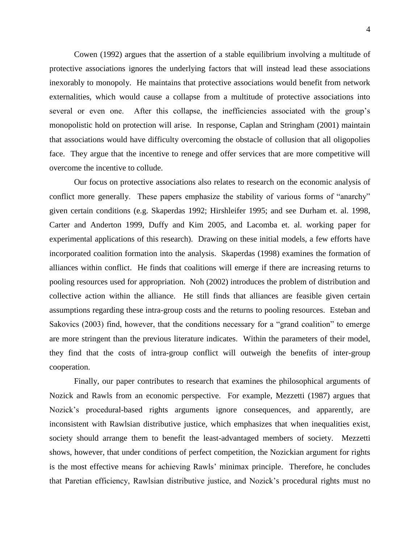Cowen (1992) argues that the assertion of a stable equilibrium involving a multitude of protective associations ignores the underlying factors that will instead lead these associations inexorably to monopoly. He maintains that protective associations would benefit from network externalities, which would cause a collapse from a multitude of protective associations into several or even one. After this collapse, the inefficiencies associated with the group's monopolistic hold on protection will arise. In response, Caplan and Stringham (2001) maintain that associations would have difficulty overcoming the obstacle of collusion that all oligopolies face. They argue that the incentive to renege and offer services that are more competitive will overcome the incentive to collude.

Our focus on protective associations also relates to research on the economic analysis of conflict more generally. These papers emphasize the stability of various forms of "anarchy" given certain conditions (e.g. Skaperdas 1992; Hirshleifer 1995; and see Durham et. al. 1998, Carter and Anderton 1999, Duffy and Kim 2005, and Lacomba et. al. working paper for experimental applications of this research). Drawing on these initial models, a few efforts have incorporated coalition formation into the analysis. Skaperdas (1998) examines the formation of alliances within conflict. He finds that coalitions will emerge if there are increasing returns to pooling resources used for appropriation. Noh (2002) introduces the problem of distribution and collective action within the alliance. He still finds that alliances are feasible given certain assumptions regarding these intra-group costs and the returns to pooling resources. Esteban and Sakovics (2003) find, however, that the conditions necessary for a "grand coalition" to emerge are more stringent than the previous literature indicates. Within the parameters of their model, they find that the costs of intra-group conflict will outweigh the benefits of inter-group cooperation.

Finally, our paper contributes to research that examines the philosophical arguments of Nozick and Rawls from an economic perspective. For example, Mezzetti (1987) argues that Nozick's procedural-based rights arguments ignore consequences, and apparently, are inconsistent with Rawlsian distributive justice, which emphasizes that when inequalities exist, society should arrange them to benefit the least-advantaged members of society. Mezzetti shows, however, that under conditions of perfect competition, the Nozickian argument for rights is the most effective means for achieving Rawls' minimax principle. Therefore, he concludes that Paretian efficiency, Rawlsian distributive justice, and Nozick's procedural rights must no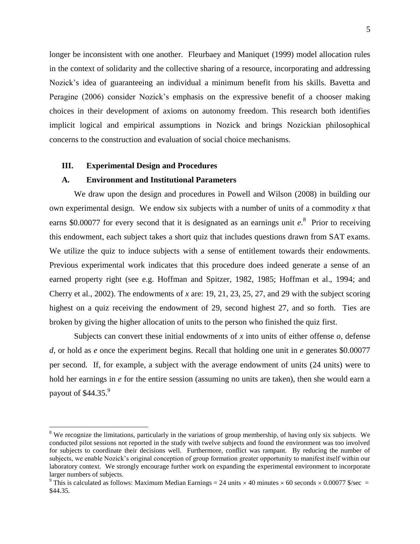longer be inconsistent with one another. Fleurbaey and Maniquet (1999) model allocation rules in the context of solidarity and the collective sharing of a resource, incorporating and addressing Nozick's idea of guaranteeing an individual a minimum benefit from his skills. Bavetta and Peragine (2006) consider Nozick's emphasis on the expressive benefit of a chooser making choices in their development of axioms on autonomy freedom. This research both identifies implicit logical and empirical assumptions in Nozick and brings Nozickian philosophical concerns to the construction and evaluation of social choice mechanisms.

#### **III. Experimental Design and Procedures**

 $\overline{a}$ 

#### **A. Environment and Institutional Parameters**

We draw upon the design and procedures in Powell and Wilson (2008) in building our own experimental design. We endow six subjects with a number of units of a commodity *x* that earns \$0.00077 for every second that it is designated as an earnings unit  $e^8$ . Prior to receiving this endowment, each subject takes a short quiz that includes questions drawn from SAT exams. We utilize the quiz to induce subjects with a sense of entitlement towards their endowments. Previous experimental work indicates that this procedure does indeed generate a sense of an earned property right (see e.g. Hoffman and Spitzer, 1982, 1985; Hoffman et al., 1994; and Cherry et al., 2002). The endowments of *x* are: 19, 21, 23, 25, 27, and 29 with the subject scoring highest on a quiz receiving the endowment of 29, second highest 27, and so forth. Ties are broken by giving the higher allocation of units to the person who finished the quiz first.

Subjects can convert these initial endowments of *x* into units of either offense *o*, defense *d*, or hold as *e* once the experiment begins. Recall that holding one unit in *e* generates \$0.00077 per second. If, for example, a subject with the average endowment of units (24 units) were to hold her earnings in *e* for the entire session (assuming no units are taken), then she would earn a payout of  $$44.35$ .

 $8$  We recognize the limitations, particularly in the variations of group membership, of having only six subjects. We conducted pilot sessions not reported in the study with twelve subjects and found the environment was too involved for subjects to coordinate their decisions well. Furthermore, conflict was rampant. By reducing the number of subjects, we enable Nozick's original conception of group formation greater opportunity to manifest itself within our laboratory context. We strongly encourage further work on expanding the experimental environment to incorporate larger numbers of subjects.

<sup>&</sup>lt;sup>9</sup> This is calculated as follows: Maximum Median Earnings = 24 units  $\times$  40 minutes  $\times$  60 seconds  $\times$  0.00077 \$/sec = \$44.35.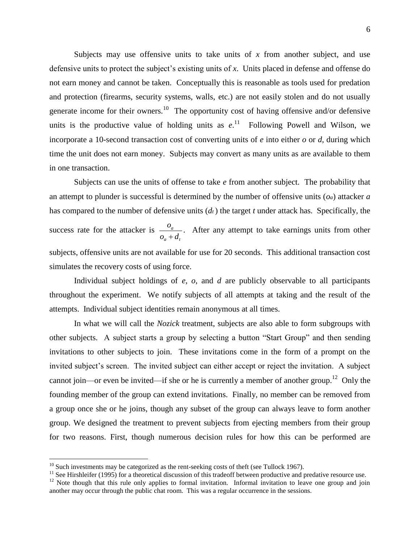Subjects may use offensive units to take units of  $x$  from another subject, and use defensive units to protect the subject's existing units of *x*. Units placed in defense and offense do not earn money and cannot be taken. Conceptually this is reasonable as tools used for predation and protection (firearms, security systems, walls, etc.) are not easily stolen and do not usually generate income for their owners.<sup>10</sup> The opportunity cost of having offensive and/or defensive units is the productive value of holding units as  $e^{11}$ . Following Powell and Wilson, we incorporate a 10-second transaction cost of converting units of *e* into either *o* or *d*, during which time the unit does not earn money. Subjects may convert as many units as are available to them in one transaction.

Subjects can use the units of offense to take *e* from another subject. The probability that an attempt to plunder is successful is determined by the number of offensive units (*oa*) attacker *a*  has compared to the number of defensive units (*dt* ) the target *t* under attack has. Specifically, the success rate for the attacker is  $a^{\mathrm{T}} u_t$ *a*  $o_a + d$ *o*  $\ddot{}$ . After any attempt to take earnings units from other subjects, offensive units are not available for use for 20 seconds. This additional transaction cost simulates the recovery costs of using force.

Individual subject holdings of *e*, *o*, and *d* are publicly observable to all participants throughout the experiment. We notify subjects of all attempts at taking and the result of the attempts. Individual subject identities remain anonymous at all times.

In what we will call the *Nozick* treatment, subjects are also able to form subgroups with other subjects. A subject starts a group by selecting a button "Start Group" and then sending invitations to other subjects to join. These invitations come in the form of a prompt on the invited subject's screen. The invited subject can either accept or reject the invitation. A subject cannot join—or even be invited—if she or he is currently a member of another group.<sup>12</sup> Only the founding member of the group can extend invitations. Finally, no member can be removed from a group once she or he joins, though any subset of the group can always leave to form another group. We designed the treatment to prevent subjects from ejecting members from their group for two reasons. First, though numerous decision rules for how this can be performed are

 $\overline{a}$ 

 $10$  Such investments may be categorized as the rent-seeking costs of theft (see Tullock 1967).

 $11$  See Hirshleifer (1995) for a theoretical discussion of this tradeoff between productive and predative resource use.  $12$  Note though that this rule only applies to formal invitation. Informal invitation to leave one group and join another may occur through the public chat room. This was a regular occurrence in the sessions.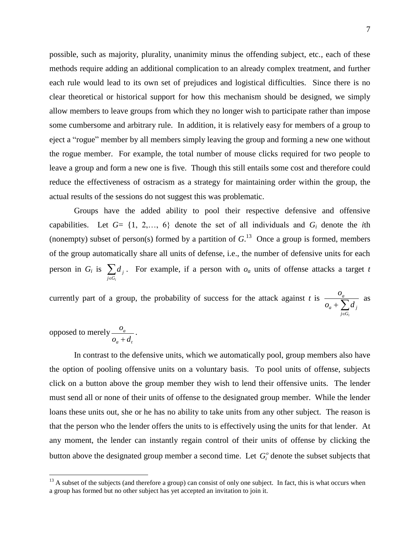possible, such as majority, plurality, unanimity minus the offending subject, etc., each of these methods require adding an additional complication to an already complex treatment, and further each rule would lead to its own set of prejudices and logistical difficulties. Since there is no clear theoretical or historical support for how this mechanism should be designed, we simply allow members to leave groups from which they no longer wish to participate rather than impose some cumbersome and arbitrary rule. In addition, it is relatively easy for members of a group to eject a "rogue" member by all members simply leaving the group and forming a new one without the rogue member. For example, the total number of mouse clicks required for two people to leave a group and form a new one is five. Though this still entails some cost and therefore could reduce the effectiveness of ostracism as a strategy for maintaining order within the group, the actual results of the sessions do not suggest this was problematic.

Groups have the added ability to pool their respective defensive and offensive capabilities. Let  $G = \{1, 2, \ldots, 6\}$  denote the set of all individuals and  $G_i$  denote the *i*th (nonempty) subset of person(s) formed by a partition of  $G$ <sup>13</sup>. Once a group is formed, members of the group automatically share all units of defense, i.e., the number of defensive units for each person in  $G_i$  is  $\sum$  $j \in G_i$  $d_j$ . For example, if a person with  $o_a$  units of offense attacks a target *t* 

currently part of a group, the probability of success for the attack against *t* is  $\frac{C_a}{C_a + \sum_{i \in G_i} C_i}$  $\ddot{}$  $j \in G_i$  $a \perp \perp u_j$ *a*  $o_a + \sum d$  $\frac{\omega_a}{\sum}$  as

opposed to merely  $a \cdot u_t$ *a*  $o_a + d$ *o*  $\ddot{}$ .

 $\overline{a}$ 

In contrast to the defensive units, which we automatically pool, group members also have the option of pooling offensive units on a voluntary basis. To pool units of offense, subjects click on a button above the group member they wish to lend their offensive units. The lender must send all or none of their units of offense to the designated group member. While the lender loans these units out, she or he has no ability to take units from any other subject. The reason is that the person who the lender offers the units to is effectively using the units for that lender. At any moment, the lender can instantly regain control of their units of offense by clicking the button above the designated group member a second time. Let  $G_i^o$  denote the subset subjects that

 $<sup>13</sup>$  A subset of the subjects (and therefore a group) can consist of only one subject. In fact, this is what occurs when</sup> a group has formed but no other subject has yet accepted an invitation to join it.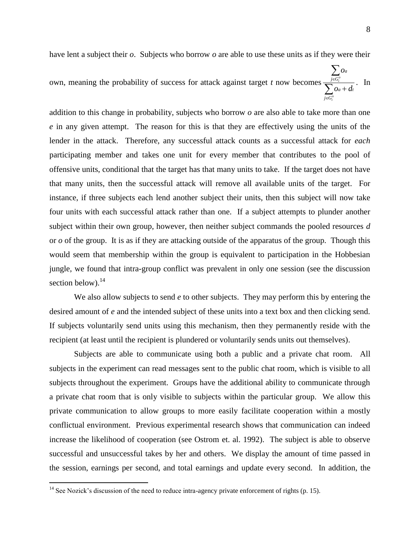have lent a subject their *o*. Subjects who borrow *o* are able to use these units as if they were their

own, meaning the probability of success for attack against target *t* now becomes\n
$$
\frac{\sum_{j \in G_i^o} o_a}{\sum_{j \in G_i^o} o_a + d_t}.
$$

addition to this change in probability, subjects who borrow *o* are also able to take more than one *e* in any given attempt. The reason for this is that they are effectively using the units of the lender in the attack. Therefore, any successful attack counts as a successful attack for *each* participating member and takes one unit for every member that contributes to the pool of offensive units, conditional that the target has that many units to take. If the target does not have that many units, then the successful attack will remove all available units of the target. For instance, if three subjects each lend another subject their units, then this subject will now take four units with each successful attack rather than one. If a subject attempts to plunder another subject within their own group, however, then neither subject commands the pooled resources *d*  or *o* of the group. It is as if they are attacking outside of the apparatus of the group. Though this would seem that membership within the group is equivalent to participation in the Hobbesian jungle, we found that intra-group conflict was prevalent in only one session (see the discussion section below).<sup>14</sup>

We also allow subjects to send *e* to other subjects. They may perform this by entering the desired amount of *e* and the intended subject of these units into a text box and then clicking send. If subjects voluntarily send units using this mechanism, then they permanently reside with the recipient (at least until the recipient is plundered or voluntarily sends units out themselves).

Subjects are able to communicate using both a public and a private chat room. All subjects in the experiment can read messages sent to the public chat room, which is visible to all subjects throughout the experiment. Groups have the additional ability to communicate through a private chat room that is only visible to subjects within the particular group. We allow this private communication to allow groups to more easily facilitate cooperation within a mostly conflictual environment. Previous experimental research shows that communication can indeed increase the likelihood of cooperation (see Ostrom et. al. 1992). The subject is able to observe successful and unsuccessful takes by her and others. We display the amount of time passed in the session, earnings per second, and total earnings and update every second. In addition, the

 $\overline{a}$ 

 $14$  See Nozick's discussion of the need to reduce intra-agency private enforcement of rights (p. 15).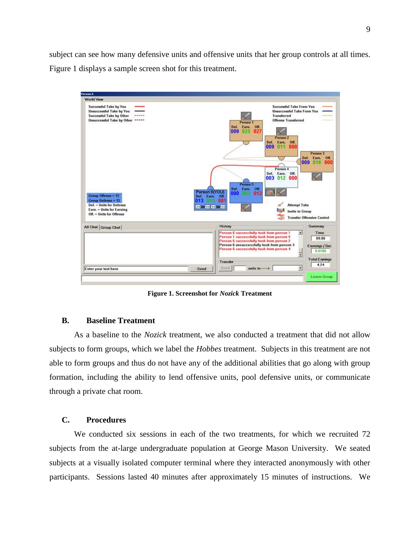subject can see how many defensive units and offensive units that her group controls at all times. Figure 1 displays a sample screen shot for this treatment.



**Figure 1. Screenshot for** *Nozick* **Treatment**

# **B. Baseline Treatment**

As a baseline to the *Nozick* treatment, we also conducted a treatment that did not allow subjects to form groups, which we label the *Hobbes* treatment. Subjects in this treatment are not able to form groups and thus do not have any of the additional abilities that go along with group formation, including the ability to lend offensive units, pool defensive units, or communicate through a private chat room.

# **C. Procedures**

We conducted six sessions in each of the two treatments, for which we recruited 72 subjects from the at-large undergraduate population at George Mason University. We seated subjects at a visually isolated computer terminal where they interacted anonymously with other participants. Sessions lasted 40 minutes after approximately 15 minutes of instructions. We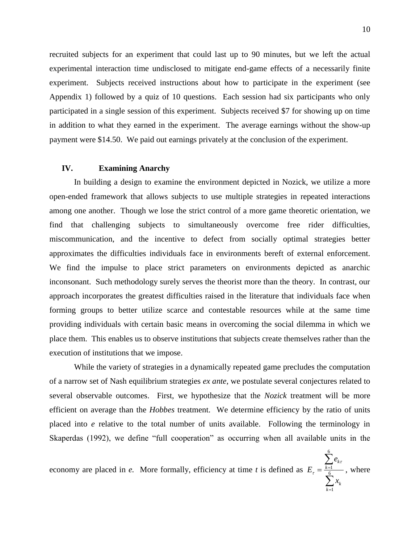recruited subjects for an experiment that could last up to 90 minutes, but we left the actual experimental interaction time undisclosed to mitigate end-game effects of a necessarily finite experiment. Subjects received instructions about how to participate in the experiment (see Appendix 1) followed by a quiz of 10 questions. Each session had six participants who only participated in a single session of this experiment. Subjects received \$7 for showing up on time in addition to what they earned in the experiment. The average earnings without the show-up payment were \$14.50. We paid out earnings privately at the conclusion of the experiment.

# **IV. Examining Anarchy**

In building a design to examine the environment depicted in Nozick, we utilize a more open-ended framework that allows subjects to use multiple strategies in repeated interactions among one another. Though we lose the strict control of a more game theoretic orientation, we find that challenging subjects to simultaneously overcome free rider difficulties, miscommunication, and the incentive to defect from socially optimal strategies better approximates the difficulties individuals face in environments bereft of external enforcement. We find the impulse to place strict parameters on environments depicted as anarchic inconsonant. Such methodology surely serves the theorist more than the theory. In contrast, our approach incorporates the greatest difficulties raised in the literature that individuals face when forming groups to better utilize scarce and contestable resources while at the same time providing individuals with certain basic means in overcoming the social dilemma in which we place them. This enables us to observe institutions that subjects create themselves rather than the execution of institutions that we impose.

While the variety of strategies in a dynamically repeated game precludes the computation of a narrow set of Nash equilibrium strategies *ex ante*, we postulate several conjectures related to several observable outcomes. First, we hypothesize that the *Nozick* treatment will be more efficient on average than the *Hobbes* treatment. We determine efficiency by the ratio of units placed into *e* relative to the total number of units available. Following the terminology in Skaperdas (1992), we define "full cooperation" as occurring when all available units in the

economy are placed in *e.* More formally, efficiency at time *t* is defined as  $\sum$  $\sum$  $=$  $=\frac{k}{6}$ 1 6 1 *k k k k x e*  $E_{\tau} = \frac{\sum_{k=1}^{k} k \tau}{6}$  $\sum_{\tau} = \frac{k=1}{6}$ , where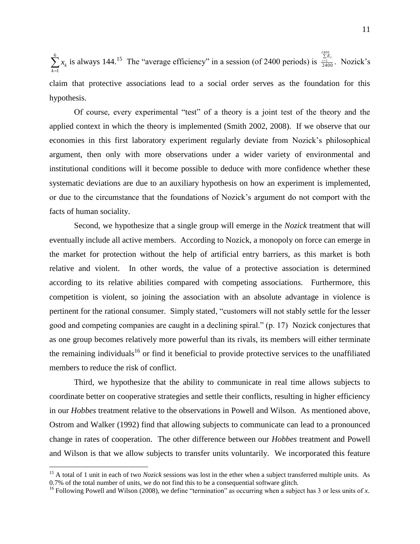$\sum_{k=1}^{6}$  $k=1$  $x_k$  is always 144.<sup>15</sup> The "average efficiency" in a session (of 2400 periods) is  $\frac{z-z}{2400}$ 2400  $\frac{\sum\limits_{\tau=1}^{T}E_{\tau}}{2400}$ . Nozick's claim that protective associations lead to a social order serves as the foundation for this hypothesis.

Of course, every experimental "test" of a theory is a joint test of the theory and the applied context in which the theory is implemented (Smith 2002, 2008). If we observe that our economies in this first laboratory experiment regularly deviate from Nozick's philosophical argument, then only with more observations under a wider variety of environmental and institutional conditions will it become possible to deduce with more confidence whether these systematic deviations are due to an auxiliary hypothesis on how an experiment is implemented, or due to the circumstance that the foundations of Nozick's argument do not comport with the facts of human sociality.

Second, we hypothesize that a single group will emerge in the *Nozick* treatment that will eventually include all active members. According to Nozick, a monopoly on force can emerge in the market for protection without the help of artificial entry barriers, as this market is both relative and violent. In other words, the value of a protective association is determined according to its relative abilities compared with competing associations. Furthermore, this competition is violent, so joining the association with an absolute advantage in violence is pertinent for the rational consumer. Simply stated, "customers will not stably settle for the lesser good and competing companies are caught in a declining spiral." (p. 17) Nozick conjectures that as one group becomes relatively more powerful than its rivals, its members will either terminate the remaining individuals<sup>16</sup> or find it beneficial to provide protective services to the unaffiliated members to reduce the risk of conflict.

Third, we hypothesize that the ability to communicate in real time allows subjects to coordinate better on cooperative strategies and settle their conflicts, resulting in higher efficiency in our *Hobbes* treatment relative to the observations in Powell and Wilson. As mentioned above, Ostrom and Walker (1992) find that allowing subjects to communicate can lead to a pronounced change in rates of cooperation. The other difference between our *Hobbes* treatment and Powell and Wilson is that we allow subjects to transfer units voluntarily. We incorporated this feature

 $\overline{a}$ 

<sup>&</sup>lt;sup>15</sup> A total of 1 unit in each of two *Nozick* sessions was lost in the ether when a subject transferred multiple units. As 0.7% of the total number of units, we do not find this to be a consequential software glitch.

<sup>&</sup>lt;sup>16</sup> Following Powell and Wilson (2008), we define "termination" as occurring when a subject has 3 or less units of x.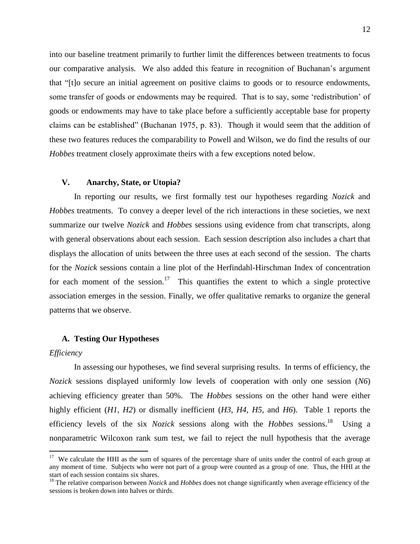into our baseline treatment primarily to further limit the differences between treatments to focus our comparative analysis. We also added this feature in recognition of Buchanan's argument that "[t]o secure an initial agreement on positive claims to goods or to resource endowments, some transfer of goods or endowments may be required. That is to say, some 'redistribution' of goods or endowments may have to take place before a sufficiently acceptable base for property claims can be established" (Buchanan 1975, p. 83). Though it would seem that the addition of these two features reduces the comparability to Powell and Wilson, we do find the results of our *Hobbes* treatment closely approximate theirs with a few exceptions noted below.

#### **V. Anarchy, State, or Utopia?**

In reporting our results, we first formally test our hypotheses regarding *Nozick* and *Hobbes* treatments. To convey a deeper level of the rich interactions in these societies, we next summarize our twelve *Nozick* and *Hobbes* sessions using evidence from chat transcripts, along with general observations about each session. Each session description also includes a chart that displays the allocation of units between the three uses at each second of the session. The charts for the *Nozick* sessions contain a line plot of the Herfindahl-Hirschman Index of concentration for each moment of the session.<sup>17</sup> This quantifies the extent to which a single protective association emerges in the session. Finally, we offer qualitative remarks to organize the general patterns that we observe.

#### **A. Testing Our Hypotheses**

# *Efficiency*

In assessing our hypotheses, we find several surprising results. In terms of efficiency, the *Nozick* sessions displayed uniformly low levels of cooperation with only one session (*N6*) achieving efficiency greater than 50%. The *Hobbes* sessions on the other hand were either highly efficient (*H1*, *H2*) or dismally inefficient (*H3*, *H4*, *H5*, and *H6*). Table 1 reports the efficiency levels of the six *Nozick* sessions along with the *Hobbes* sessions.<sup>18</sup> Using a nonparametric Wilcoxon rank sum test, we fail to reject the null hypothesis that the average

<sup>&</sup>lt;sup>17</sup> We calculate the HHI as the sum of squares of the percentage share of units under the control of each group at any moment of time. Subjects who were not part of a group were counted as a group of one. Thus, the HHI at the start of each session contains six shares.

<sup>18</sup> The relative comparison between *Nozick* and *Hobbes* does not change significantly when average efficiency of the sessions is broken down into halves or thirds.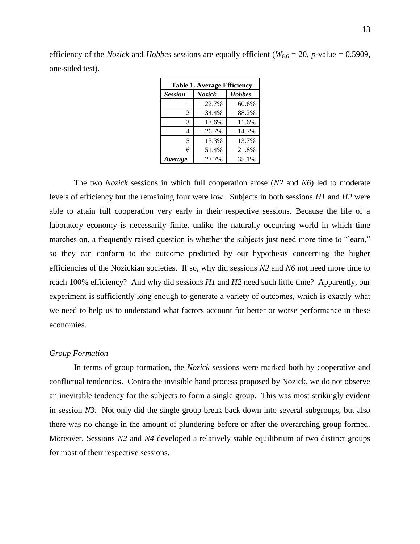|                  | efficiency of the <i>Nozick</i> and <i>Hobbes</i> sessions are equally efficient ( $W_{6,6} = 20$ , <i>p</i> -value = 0.5909, |  |  |  |
|------------------|-------------------------------------------------------------------------------------------------------------------------------|--|--|--|
| one-sided test). |                                                                                                                               |  |  |  |

| <b>Table 1. Average Efficiency</b> |        |               |  |
|------------------------------------|--------|---------------|--|
| <b>Session</b>                     | Nozick | <b>Hobbes</b> |  |
|                                    | 22.7%  | 60.6%         |  |
| 2                                  | 34.4%  | 88.2%         |  |
| 3                                  | 17.6%  | 11.6%         |  |
| 4                                  | 26.7%  | 14.7%         |  |
| 5                                  | 13.3%  | 13.7%         |  |
| 6                                  | 51.4%  | 21.8%         |  |
| Average                            | 27.7%  | 35.1%         |  |

The two *Nozick* sessions in which full cooperation arose (*N2* and *N6*) led to moderate levels of efficiency but the remaining four were low. Subjects in both sessions *H1* and *H2* were able to attain full cooperation very early in their respective sessions. Because the life of a laboratory economy is necessarily finite, unlike the naturally occurring world in which time marches on, a frequently raised question is whether the subjects just need more time to "learn," so they can conform to the outcome predicted by our hypothesis concerning the higher efficiencies of the Nozickian societies. If so, why did sessions *N2* and *N6* not need more time to reach 100% efficiency? And why did sessions *H1* and *H2* need such little time? Apparently, our experiment is sufficiently long enough to generate a variety of outcomes, which is exactly what we need to help us to understand what factors account for better or worse performance in these economies.

# *Group Formation*

In terms of group formation, the *Nozick* sessions were marked both by cooperative and conflictual tendencies. Contra the invisible hand process proposed by Nozick, we do not observe an inevitable tendency for the subjects to form a single group. This was most strikingly evident in session *N3*. Not only did the single group break back down into several subgroups, but also there was no change in the amount of plundering before or after the overarching group formed. Moreover, Sessions *N2* and *N4* developed a relatively stable equilibrium of two distinct groups for most of their respective sessions.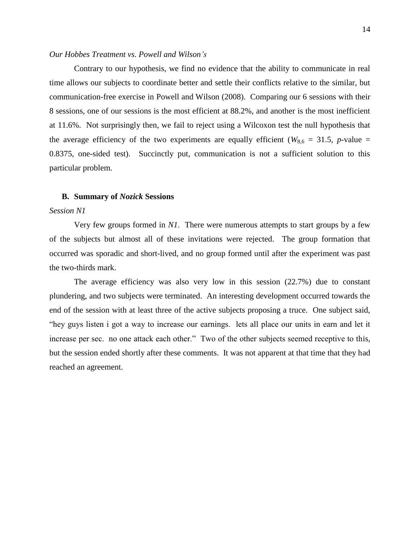#### *Our Hobbes Treatment vs. Powell and Wilson's*

Contrary to our hypothesis, we find no evidence that the ability to communicate in real time allows our subjects to coordinate better and settle their conflicts relative to the similar, but communication-free exercise in Powell and Wilson (2008). Comparing our 6 sessions with their 8 sessions, one of our sessions is the most efficient at 88.2%, and another is the most inefficient at 11.6%. Not surprisingly then, we fail to reject using a Wilcoxon test the null hypothesis that the average efficiency of the two experiments are equally efficient ( $W_{8,6} = 31.5$ , *p*-value = 0.8375, one-sided test). Succinctly put, communication is not a sufficient solution to this particular problem.

#### **B. Summary of** *Nozick* **Sessions**

#### *Session N1*

Very few groups formed in *N1*. There were numerous attempts to start groups by a few of the subjects but almost all of these invitations were rejected. The group formation that occurred was sporadic and short-lived, and no group formed until after the experiment was past the two-thirds mark.

The average efficiency was also very low in this session (22.7%) due to constant plundering, and two subjects were terminated. An interesting development occurred towards the end of the session with at least three of the active subjects proposing a truce. One subject said, ―hey guys listen i got a way to increase our earnings. lets all place our units in earn and let it increase per sec. no one attack each other." Two of the other subjects seemed receptive to this, but the session ended shortly after these comments. It was not apparent at that time that they had reached an agreement.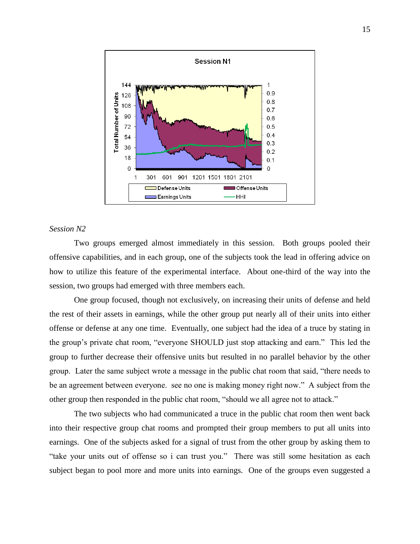

Two groups emerged almost immediately in this session. Both groups pooled their offensive capabilities, and in each group, one of the subjects took the lead in offering advice on how to utilize this feature of the experimental interface. About one-third of the way into the session, two groups had emerged with three members each.

One group focused, though not exclusively, on increasing their units of defense and held the rest of their assets in earnings, while the other group put nearly all of their units into either offense or defense at any one time. Eventually, one subject had the idea of a truce by stating in the group's private chat room, "everyone SHOULD just stop attacking and earn." This led the group to further decrease their offensive units but resulted in no parallel behavior by the other group. Later the same subject wrote a message in the public chat room that said, "there needs to be an agreement between everyone. see no one is making money right now." A subject from the other group then responded in the public chat room, "should we all agree not to attack."

The two subjects who had communicated a truce in the public chat room then went back into their respective group chat rooms and prompted their group members to put all units into earnings. One of the subjects asked for a signal of trust from the other group by asking them to "take your units out of offense so i can trust you." There was still some hesitation as each subject began to pool more and more units into earnings. One of the groups even suggested a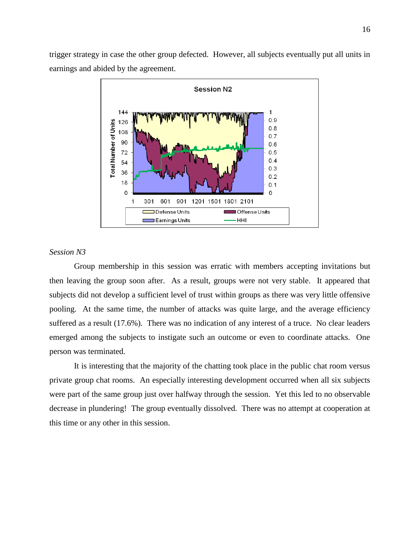trigger strategy in case the other group defected. However, all subjects eventually put all units in earnings and abided by the agreement.



# *Session N3*

Group membership in this session was erratic with members accepting invitations but then leaving the group soon after. As a result, groups were not very stable. It appeared that subjects did not develop a sufficient level of trust within groups as there was very little offensive pooling. At the same time, the number of attacks was quite large, and the average efficiency suffered as a result (17.6%). There was no indication of any interest of a truce. No clear leaders emerged among the subjects to instigate such an outcome or even to coordinate attacks. One person was terminated.

It is interesting that the majority of the chatting took place in the public chat room versus private group chat rooms. An especially interesting development occurred when all six subjects were part of the same group just over halfway through the session. Yet this led to no observable decrease in plundering! The group eventually dissolved. There was no attempt at cooperation at this time or any other in this session.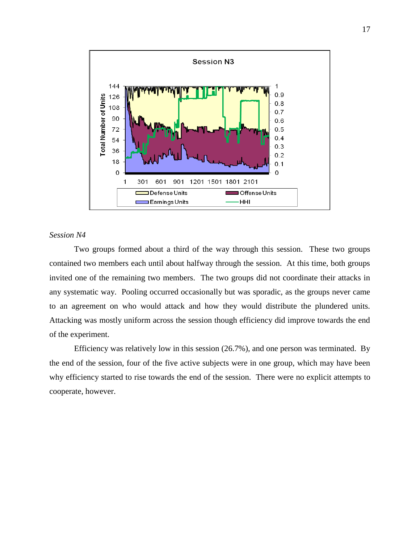

Two groups formed about a third of the way through this session. These two groups contained two members each until about halfway through the session. At this time, both groups invited one of the remaining two members. The two groups did not coordinate their attacks in any systematic way. Pooling occurred occasionally but was sporadic, as the groups never came to an agreement on who would attack and how they would distribute the plundered units. Attacking was mostly uniform across the session though efficiency did improve towards the end of the experiment.

Efficiency was relatively low in this session (26.7%), and one person was terminated. By the end of the session, four of the five active subjects were in one group, which may have been why efficiency started to rise towards the end of the session. There were no explicit attempts to cooperate, however.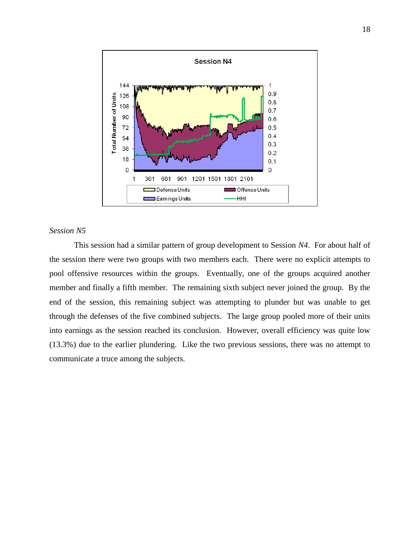

This session had a similar pattern of group development to Session *N4*. For about half of the session there were two groups with two members each. There were no explicit attempts to pool offensive resources within the groups. Eventually, one of the groups acquired another member and finally a fifth member. The remaining sixth subject never joined the group. By the end of the session, this remaining subject was attempting to plunder but was unable to get through the defenses of the five combined subjects. The large group pooled more of their units into earnings as the session reached its conclusion. However, overall efficiency was quite low (13.3%) due to the earlier plundering. Like the two previous sessions, there was no attempt to communicate a truce among the subjects.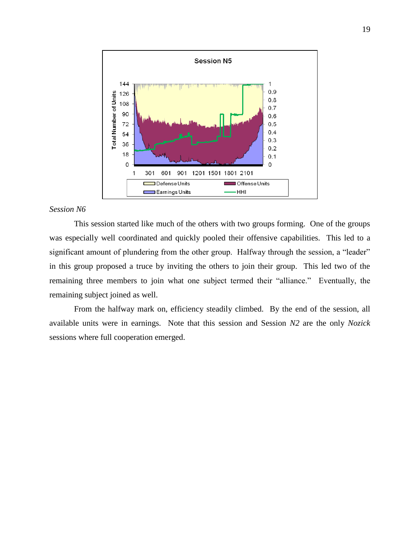

This session started like much of the others with two groups forming. One of the groups was especially well coordinated and quickly pooled their offensive capabilities. This led to a significant amount of plundering from the other group. Halfway through the session, a "leader" in this group proposed a truce by inviting the others to join their group. This led two of the remaining three members to join what one subject termed their "alliance." Eventually, the remaining subject joined as well.

From the halfway mark on, efficiency steadily climbed. By the end of the session, all available units were in earnings. Note that this session and Session *N2* are the only *Nozick* sessions where full cooperation emerged.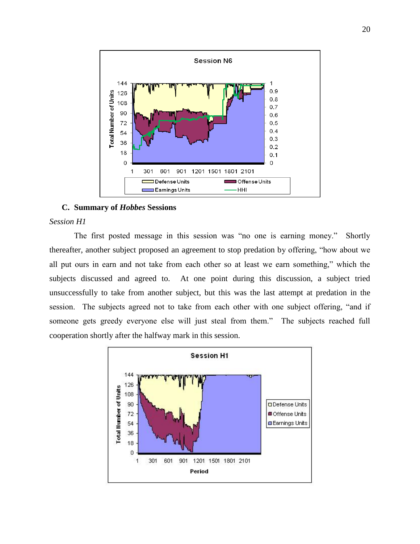

#### **C. Summary of** *Hobbes* **Sessions**

#### *Session H1*

The first posted message in this session was "no one is earning money." Shortly thereafter, another subject proposed an agreement to stop predation by offering, "how about we all put ours in earn and not take from each other so at least we earn something," which the subjects discussed and agreed to. At one point during this discussion, a subject tried unsuccessfully to take from another subject, but this was the last attempt at predation in the session. The subjects agreed not to take from each other with one subject offering, "and if someone gets greedy everyone else will just steal from them." The subjects reached full cooperation shortly after the halfway mark in this session.

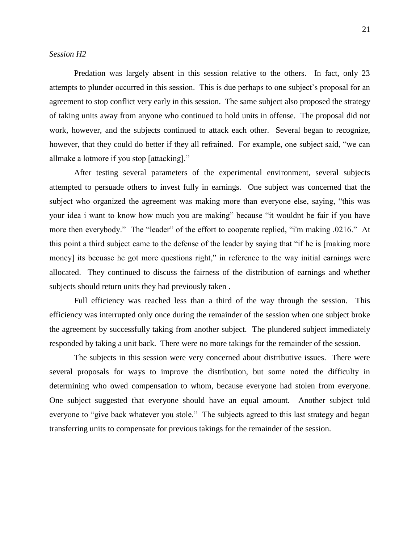#### *Session H2*

Predation was largely absent in this session relative to the others. In fact, only 23 attempts to plunder occurred in this session. This is due perhaps to one subject's proposal for an agreement to stop conflict very early in this session. The same subject also proposed the strategy of taking units away from anyone who continued to hold units in offense. The proposal did not work, however, and the subjects continued to attack each other. Several began to recognize, however, that they could do better if they all refrained. For example, one subject said, "we can allmake a lotmore if you stop [attacking]."

After testing several parameters of the experimental environment, several subjects attempted to persuade others to invest fully in earnings. One subject was concerned that the subject who organized the agreement was making more than everyone else, saying, "this was your idea i want to know how much you are making" because "it wouldnt be fair if you have more then everybody." The "leader" of the effort to cooperate replied, "i'm making .0216." At this point a third subject came to the defense of the leader by saying that "if he is [making more money] its becuase he got more questions right," in reference to the way initial earnings were allocated. They continued to discuss the fairness of the distribution of earnings and whether subjects should return units they had previously taken .

Full efficiency was reached less than a third of the way through the session. This efficiency was interrupted only once during the remainder of the session when one subject broke the agreement by successfully taking from another subject. The plundered subject immediately responded by taking a unit back. There were no more takings for the remainder of the session.

The subjects in this session were very concerned about distributive issues. There were several proposals for ways to improve the distribution, but some noted the difficulty in determining who owed compensation to whom, because everyone had stolen from everyone. One subject suggested that everyone should have an equal amount. Another subject told everyone to "give back whatever you stole." The subjects agreed to this last strategy and began transferring units to compensate for previous takings for the remainder of the session.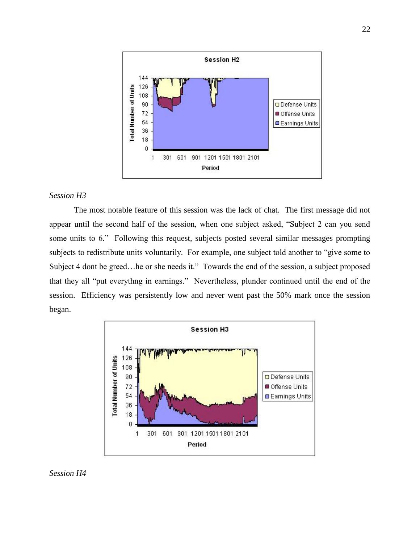

# *Session H3*

The most notable feature of this session was the lack of chat. The first message did not appear until the second half of the session, when one subject asked, "Subject 2 can you send some units to 6." Following this request, subjects posted several similar messages prompting subjects to redistribute units voluntarily. For example, one subject told another to "give some to" Subject 4 dont be greed…he or she needs it." Towards the end of the session, a subject proposed that they all "put everythng in earnings." Nevertheless, plunder continued until the end of the session. Efficiency was persistently low and never went past the 50% mark once the session began.



# *Session H4*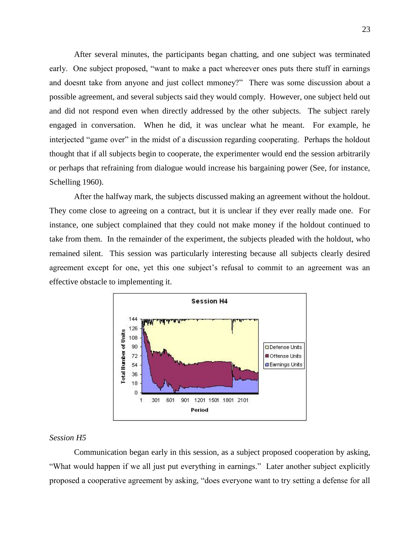After several minutes, the participants began chatting, and one subject was terminated early. One subject proposed, "want to make a pact whereever ones puts there stuff in earnings and doesnt take from anyone and just collect mmoney?" There was some discussion about a possible agreement, and several subjects said they would comply. However, one subject held out and did not respond even when directly addressed by the other subjects. The subject rarely engaged in conversation. When he did, it was unclear what he meant. For example, he interjected "game over" in the midst of a discussion regarding cooperating. Perhaps the holdout thought that if all subjects begin to cooperate, the experimenter would end the session arbitrarily or perhaps that refraining from dialogue would increase his bargaining power (See, for instance, Schelling 1960).

After the halfway mark, the subjects discussed making an agreement without the holdout. They come close to agreeing on a contract, but it is unclear if they ever really made one. For instance, one subject complained that they could not make money if the holdout continued to take from them. In the remainder of the experiment, the subjects pleaded with the holdout, who remained silent. This session was particularly interesting because all subjects clearly desired agreement except for one, yet this one subject's refusal to commit to an agreement was an effective obstacle to implementing it.



#### *Session H5*

Communication began early in this session, as a subject proposed cooperation by asking, "What would happen if we all just put everything in earnings." Later another subject explicitly proposed a cooperative agreement by asking, "does everyone want to try setting a defense for all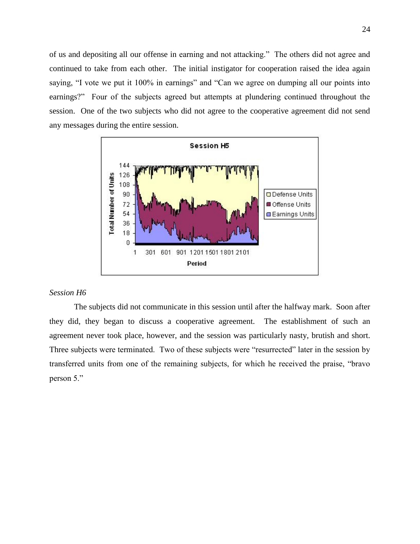of us and depositing all our offense in earning and not attacking." The others did not agree and continued to take from each other. The initial instigator for cooperation raised the idea again saying, "I vote we put it 100% in earnings" and "Can we agree on dumping all our points into earnings?" Four of the subjects agreed but attempts at plundering continued throughout the session. One of the two subjects who did not agree to the cooperative agreement did not send any messages during the entire session.



# *Session H6*

The subjects did not communicate in this session until after the halfway mark. Soon after they did, they began to discuss a cooperative agreement. The establishment of such an agreement never took place, however, and the session was particularly nasty, brutish and short. Three subjects were terminated. Two of these subjects were "resurrected" later in the session by transferred units from one of the remaining subjects, for which he received the praise, "bravo person 5."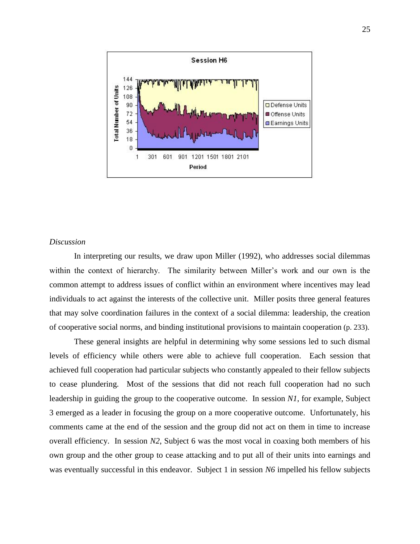

#### *Discussion*

In interpreting our results, we draw upon Miller (1992), who addresses social dilemmas within the context of hierarchy. The similarity between Miller's work and our own is the common attempt to address issues of conflict within an environment where incentives may lead individuals to act against the interests of the collective unit. Miller posits three general features that may solve coordination failures in the context of a social dilemma: leadership, the creation of cooperative social norms, and binding institutional provisions to maintain cooperation (p. 233).

These general insights are helpful in determining why some sessions led to such dismal levels of efficiency while others were able to achieve full cooperation. Each session that achieved full cooperation had particular subjects who constantly appealed to their fellow subjects to cease plundering. Most of the sessions that did not reach full cooperation had no such leadership in guiding the group to the cooperative outcome. In session *N1*, for example, Subject 3 emerged as a leader in focusing the group on a more cooperative outcome. Unfortunately, his comments came at the end of the session and the group did not act on them in time to increase overall efficiency. In session *N2*, Subject 6 was the most vocal in coaxing both members of his own group and the other group to cease attacking and to put all of their units into earnings and was eventually successful in this endeavor. Subject 1 in session *N6* impelled his fellow subjects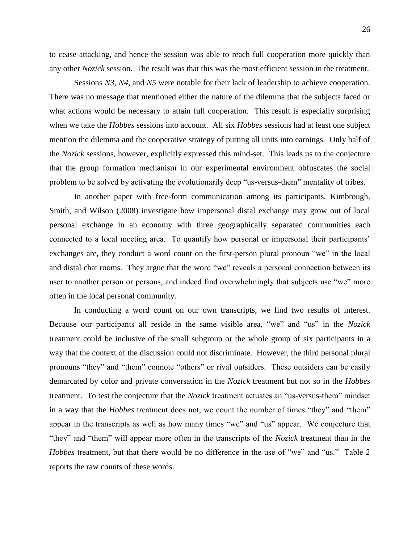to cease attacking, and hence the session was able to reach full cooperation more quickly than any other *Nozick* session. The result was that this was the most efficient session in the treatment.

Sessions *N3*, *N4*, and *N5* were notable for their lack of leadership to achieve cooperation. There was no message that mentioned either the nature of the dilemma that the subjects faced or what actions would be necessary to attain full cooperation. This result is especially surprising when we take the *Hobbes* sessions into account. All six *Hobbes* sessions had at least one subject mention the dilemma and the cooperative strategy of putting all units into earnings. Only half of the *Nozick* sessions, however, explicitly expressed this mind-set. This leads us to the conjecture that the group formation mechanism in our experimental environment obfuscates the social problem to be solved by activating the evolutionarily deep "us-versus-them" mentality of tribes.

In another paper with free-form communication among its participants, Kimbrough, Smith, and Wilson (2008) investigate how impersonal distal exchange may grow out of local personal exchange in an economy with three geographically separated communities each connected to a local meeting area. To quantify how personal or impersonal their participants' exchanges are, they conduct a word count on the first-person plural pronoun "we" in the local and distal chat rooms. They argue that the word "we" reveals a personal connection between its user to another person or persons, and indeed find overwhelmingly that subjects use "we" more often in the local personal community.

In conducting a word count on our own transcripts, we find two results of interest. Because our participants all reside in the same visible area, "we" and "us" in the *Nozick* treatment could be inclusive of the small subgroup or the whole group of six participants in a way that the context of the discussion could not discriminate. However, the third personal plural pronouns "they" and "them" connote "others" or rival outsiders. These outsiders can be easily demarcated by color and private conversation in the *Nozick* treatment but not so in the *Hobbes* treatment. To test the conjecture that the *Nozick* treatment actuates an "us-versus-them" mindset in a way that the *Hobbes* treatment does not, we count the number of times "they" and "them" appear in the transcripts as well as how many times "we" and "us" appear. We conjecture that "they" and "them" will appear more often in the transcripts of the *Nozick* treatment than in the *Hobbes* treatment, but that there would be no difference in the use of "we" and "us." Table 2 reports the raw counts of these words.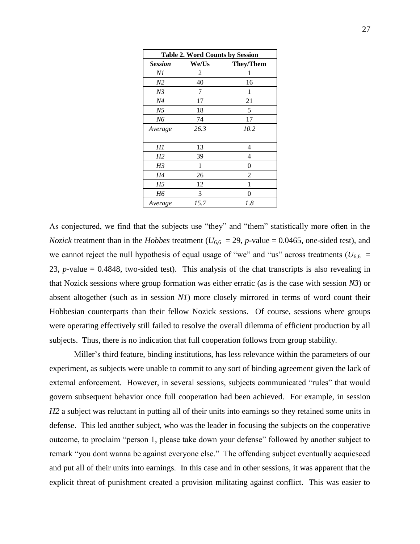| <b>Table 2. Word Counts by Session</b> |              |                  |  |  |
|----------------------------------------|--------------|------------------|--|--|
| <b>Session</b>                         | <b>We/Us</b> | <b>They/Them</b> |  |  |
| N1                                     | 2            |                  |  |  |
| N2                                     | 40           | 16               |  |  |
| N <sub>3</sub>                         | 7            | 1                |  |  |
| Ν4                                     | 17           | 21               |  |  |
| N5                                     | 18           | 5                |  |  |
| Nб                                     | 74           | 17               |  |  |
| Average                                | 26.3         | 10.2             |  |  |
|                                        |              |                  |  |  |
| H1                                     | 13           | 4                |  |  |
| H2                                     | 39           | 4                |  |  |
| H3                                     | 1            | 0                |  |  |
| Η4                                     | 26           | $\overline{2}$   |  |  |
| H5                                     | 12           | 1                |  |  |
| H6                                     | 3            | 0                |  |  |
| Average                                | 15.7         | 1.8              |  |  |

As conjectured, we find that the subjects use "they" and "them" statistically more often in the *Nozick* treatment than in the *Hobbes* treatment ( $U_{6,6} = 29$ , *p*-value = 0.0465, one-sided test), and we cannot reject the null hypothesis of equal usage of "we" and "us" across treatments ( $U_{6,6}$  = 23, *p*-value = 0.4848, two-sided test). This analysis of the chat transcripts is also revealing in that Nozick sessions where group formation was either erratic (as is the case with session *N3*) or absent altogether (such as in session *N1*) more closely mirrored in terms of word count their Hobbesian counterparts than their fellow Nozick sessions. Of course, sessions where groups were operating effectively still failed to resolve the overall dilemma of efficient production by all subjects. Thus, there is no indication that full cooperation follows from group stability.

Miller's third feature, binding institutions, has less relevance within the parameters of our experiment, as subjects were unable to commit to any sort of binding agreement given the lack of external enforcement. However, in several sessions, subjects communicated "rules" that would govern subsequent behavior once full cooperation had been achieved. For example, in session *H2* a subject was reluctant in putting all of their units into earnings so they retained some units in defense. This led another subject, who was the leader in focusing the subjects on the cooperative outcome, to proclaim "person 1, please take down your defense" followed by another subject to remark "you dont wanna be against everyone else." The offending subject eventually acquiesced and put all of their units into earnings. In this case and in other sessions, it was apparent that the explicit threat of punishment created a provision militating against conflict. This was easier to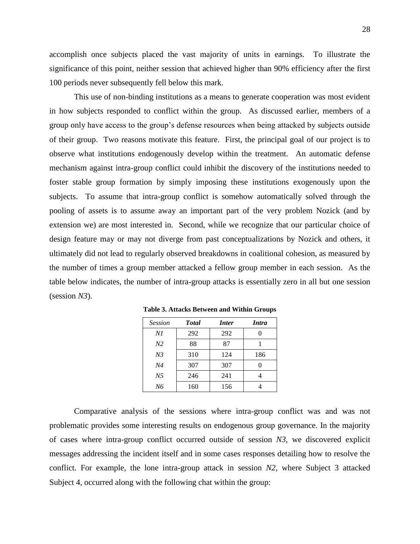accomplish once subjects placed the vast majority of units in earnings. To illustrate the significance of this point, neither session that achieved higher than 90% efficiency after the first 100 periods never subsequently fell below this mark.

This use of non-binding institutions as a means to generate cooperation was most evident in how subjects responded to conflict within the group. As discussed earlier, members of a group only have access to the group's defense resources when being attacked by subjects outside of their group. Two reasons motivate this feature. First, the principal goal of our project is to observe what institutions endogenously develop within the treatment. An automatic defense mechanism against intra-group conflict could inhibit the discovery of the institutions needed to foster stable group formation by simply imposing these institutions exogenously upon the subjects. To assume that intra-group conflict is somehow automatically solved through the pooling of assets is to assume away an important part of the very problem Nozick (and by extension we) are most interested in. Second, while we recognize that our particular choice of design feature may or may not diverge from past conceptualizations by Nozick and others, it ultimately did not lead to regularly observed breakdowns in coalitional cohesion, as measured by the number of times a group member attacked a fellow group member in each session. As the table below indicates, the number of intra-group attacks is essentially zero in all but one session (session *N3*).

| <b>Session</b> | <b>T</b> otal | <i>Inter</i> | <i>Intra</i> |
|----------------|---------------|--------------|--------------|
| N1             | 292           | 292          |              |
| N <sub>2</sub> | 88            | 87           |              |
| N <sub>3</sub> | 310           | 124          | 186          |
| N4             | 307           | 307          |              |
| N <sub>5</sub> | 246           | 241          |              |
| Nб             | 160           | 156          |              |

**Table 3. Attacks Between and Within Groups**

Comparative analysis of the sessions where intra-group conflict was and was not problematic provides some interesting results on endogenous group governance. In the majority of cases where intra-group conflict occurred outside of session *N3*, we discovered explicit messages addressing the incident itself and in some cases responses detailing how to resolve the conflict. For example, the lone intra-group attack in session *N2*, where Subject 3 attacked Subject 4, occurred along with the following chat within the group: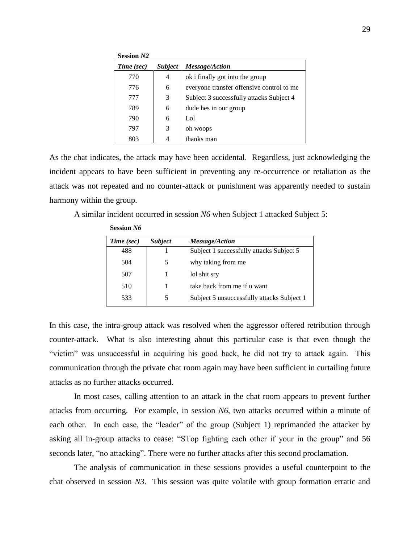| <b>Session N2</b> |                |                                           |
|-------------------|----------------|-------------------------------------------|
| Time (sec)        | <i>Subject</i> | Message/Action                            |
| 770               | 4              | ok i finally got into the group           |
| 776               | 6              | everyone transfer offensive control to me |
| 777               | 3              | Subject 3 successfully attacks Subject 4  |
| 789               | 6              | dude hes in our group                     |
| 790               | 6              | Lol                                       |
| 797               | 3              | oh woops                                  |
| 803               |                | thanks man                                |

As the chat indicates, the attack may have been accidental. Regardless, just acknowledging the incident appears to have been sufficient in preventing any re-occurrence or retaliation as the attack was not repeated and no counter-attack or punishment was apparently needed to sustain harmony within the group.

A similar incident occurred in session *N6* when Subject 1 attacked Subject 5:

| Time (sec) | <i>Subject</i> | Message/Action                             |
|------------|----------------|--------------------------------------------|
| 488        |                | Subject 1 successfully attacks Subject 5   |
| 504        | 5              | why taking from me                         |
| 507        |                | lol shit sry                               |
| 510        |                | take back from me if u want                |
| 533        | 5              | Subject 5 unsuccessfully attacks Subject 1 |
|            |                |                                            |

**Session** *N6*

In this case, the intra-group attack was resolved when the aggressor offered retribution through counter-attack. What is also interesting about this particular case is that even though the "victim" was unsuccessful in acquiring his good back, he did not try to attack again. This communication through the private chat room again may have been sufficient in curtailing future attacks as no further attacks occurred.

In most cases, calling attention to an attack in the chat room appears to prevent further attacks from occurring. For example, in session *N6*, two attacks occurred within a minute of each other. In each case, the "leader" of the group (Subject 1) reprimanded the attacker by asking all in-group attacks to cease: "STop fighting each other if your in the group" and 56 seconds later, "no attacking". There were no further attacks after this second proclamation.

The analysis of communication in these sessions provides a useful counterpoint to the chat observed in session *N3*. This session was quite volatile with group formation erratic and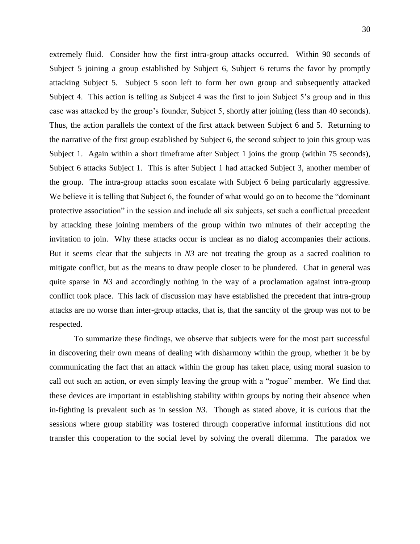30

extremely fluid. Consider how the first intra-group attacks occurred. Within 90 seconds of Subject 5 joining a group established by Subject 6, Subject 6 returns the favor by promptly attacking Subject 5. Subject 5 soon left to form her own group and subsequently attacked Subject 4. This action is telling as Subject 4 was the first to join Subject 5's group and in this case was attacked by the group's founder, Subject 5, shortly after joining (less than 40 seconds). Thus, the action parallels the context of the first attack between Subject 6 and 5. Returning to the narrative of the first group established by Subject 6, the second subject to join this group was Subject 1. Again within a short timeframe after Subject 1 joins the group (within 75 seconds), Subject 6 attacks Subject 1. This is after Subject 1 had attacked Subject 3, another member of the group. The intra-group attacks soon escalate with Subject 6 being particularly aggressive. We believe it is telling that Subject 6, the founder of what would go on to become the "dominant" protective association" in the session and include all six subjects, set such a conflictual precedent by attacking these joining members of the group within two minutes of their accepting the invitation to join. Why these attacks occur is unclear as no dialog accompanies their actions. But it seems clear that the subjects in *N3* are not treating the group as a sacred coalition to mitigate conflict, but as the means to draw people closer to be plundered. Chat in general was quite sparse in *N3* and accordingly nothing in the way of a proclamation against intra-group conflict took place. This lack of discussion may have established the precedent that intra-group attacks are no worse than inter-group attacks, that is, that the sanctity of the group was not to be respected.

To summarize these findings, we observe that subjects were for the most part successful in discovering their own means of dealing with disharmony within the group, whether it be by communicating the fact that an attack within the group has taken place, using moral suasion to call out such an action, or even simply leaving the group with a "rogue" member. We find that these devices are important in establishing stability within groups by noting their absence when in-fighting is prevalent such as in session *N3*. Though as stated above, it is curious that the sessions where group stability was fostered through cooperative informal institutions did not transfer this cooperation to the social level by solving the overall dilemma. The paradox we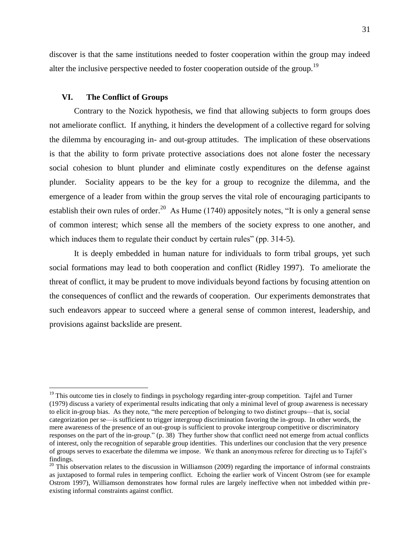discover is that the same institutions needed to foster cooperation within the group may indeed alter the inclusive perspective needed to foster cooperation outside of the group.<sup>19</sup>

#### **VI. The Conflict of Groups**

 $\overline{a}$ 

Contrary to the Nozick hypothesis, we find that allowing subjects to form groups does not ameliorate conflict. If anything, it hinders the development of a collective regard for solving the dilemma by encouraging in- and out-group attitudes. The implication of these observations is that the ability to form private protective associations does not alone foster the necessary social cohesion to blunt plunder and eliminate costly expenditures on the defense against plunder. Sociality appears to be the key for a group to recognize the dilemma, and the emergence of a leader from within the group serves the vital role of encouraging participants to establish their own rules of order.<sup>20</sup> As Hume (1740) appositely notes, "It is only a general sense of common interest; which sense all the members of the society express to one another, and which induces them to regulate their conduct by certain rules" (pp. 314-5).

It is deeply embedded in human nature for individuals to form tribal groups, yet such social formations may lead to both cooperation and conflict (Ridley 1997). To ameliorate the threat of conflict, it may be prudent to move individuals beyond factions by focusing attention on the consequences of conflict and the rewards of cooperation. Our experiments demonstrates that such endeavors appear to succeed where a general sense of common interest, leadership, and provisions against backslide are present.

<sup>&</sup>lt;sup>19</sup> This outcome ties in closely to findings in psychology regarding inter-group competition. Tajfel and Turner (1979) discuss a variety of experimental results indicating that only a minimal level of group awareness is necessary to elicit in-group bias. As they note, "the mere perception of belonging to two distinct groups—that is, social categorization per se—is sufficient to trigger intergroup discrimination favoring the in-group. In other words, the mere awareness of the presence of an out-group is sufficient to provoke intergroup competitive or discriminatory responses on the part of the in-group." (p. 38) They further show that conflict need not emerge from actual conflicts of interest, only the recognition of separable group identities. This underlines our conclusion that the very presence of groups serves to exacerbate the dilemma we impose. We thank an anonymous referee for directing us to Tajfel's findings.

 $20$  This observation relates to the discussion in Williamson (2009) regarding the importance of informal constraints as juxtaposed to formal rules in tempering conflict. Echoing the earlier work of Vincent Ostrom (see for example Ostrom 1997), Williamson demonstrates how formal rules are largely ineffective when not imbedded within preexisting informal constraints against conflict.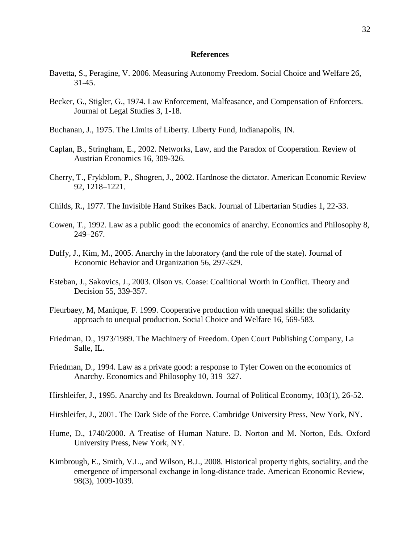#### **References**

- Bavetta, S., Peragine, V. 2006. Measuring Autonomy Freedom. Social Choice and Welfare 26, 31-45.
- Becker, G., Stigler, G., 1974. Law Enforcement, Malfeasance, and Compensation of Enforcers. Journal of Legal Studies 3, 1-18.
- Buchanan, J., 1975. The Limits of Liberty. Liberty Fund, Indianapolis, IN.
- Caplan, B., Stringham, E., 2002. Networks, Law, and the Paradox of Cooperation. Review of Austrian Economics 16, 309-326.
- Cherry, T., Frykblom, P., Shogren, J., 2002. Hardnose the dictator. American Economic Review 92, 1218–1221.
- Childs, R., 1977. The Invisible Hand Strikes Back. Journal of Libertarian Studies 1, 22-33.
- Cowen, T., 1992. Law as a public good: the economics of anarchy. Economics and Philosophy 8, 249–267.
- Duffy, J., Kim, M., 2005. Anarchy in the laboratory (and the role of the state). Journal of Economic Behavior and Organization 56, 297-329.
- Esteban, J., Sakovics, J., 2003. Olson vs. Coase: Coalitional Worth in Conflict. Theory and Decision 55, 339-357.
- Fleurbaey, M, Manique, F. 1999. Cooperative production with unequal skills: the solidarity approach to unequal production. Social Choice and Welfare 16, 569-583.
- Friedman, D., 1973/1989. The Machinery of Freedom. Open Court Publishing Company, La Salle, IL.
- Friedman, D., 1994. Law as a private good: a response to Tyler Cowen on the economics of Anarchy. Economics and Philosophy 10, 319–327.
- Hirshleifer, J., 1995. Anarchy and Its Breakdown. Journal of Political Economy, 103(1), 26-52.
- Hirshleifer, J., 2001. The Dark Side of the Force. Cambridge University Press, New York, NY.
- Hume, D., 1740/2000. A Treatise of Human Nature. D. Norton and M. Norton, Eds. Oxford University Press, New York, NY.
- Kimbrough, E., Smith, V.L., and Wilson, B.J., 2008. Historical property rights, sociality, and the emergence of impersonal exchange in long-distance trade. American Economic Review, 98(3), 1009-1039.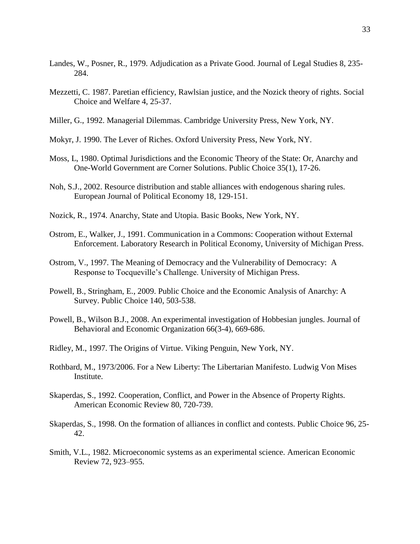- Landes, W., Posner, R., 1979. Adjudication as a Private Good. Journal of Legal Studies 8, 235- 284.
- Mezzetti, C. 1987. Paretian efficiency, Rawlsian justice, and the Nozick theory of rights. Social Choice and Welfare 4, 25-37.
- Miller, G., 1992. Managerial Dilemmas. Cambridge University Press, New York, NY.
- Mokyr, J. 1990. The Lever of Riches. Oxford University Press, New York, NY.
- Moss, L, 1980. Optimal Jurisdictions and the Economic Theory of the State: Or, Anarchy and One-World Government are Corner Solutions. Public Choice 35(1), 17-26.
- Noh, S.J., 2002. Resource distribution and stable alliances with endogenous sharing rules. European Journal of Political Economy 18, 129-151.
- Nozick, R., 1974. Anarchy, State and Utopia. Basic Books, New York, NY.
- Ostrom, E., Walker, J., 1991. Communication in a Commons: Cooperation without External Enforcement. Laboratory Research in Political Economy, University of Michigan Press.
- Ostrom, V., 1997. The Meaning of Democracy and the Vulnerability of Democracy: A Response to Tocqueville's Challenge. University of Michigan Press.
- Powell, B., Stringham, E., 2009. Public Choice and the Economic Analysis of Anarchy: A Survey. Public Choice 140, 503-538.
- Powell, B., Wilson B.J., 2008. An experimental investigation of Hobbesian jungles. Journal of Behavioral and Economic Organization 66(3-4), 669-686.
- Ridley, M., 1997. The Origins of Virtue. Viking Penguin, New York, NY.
- Rothbard, M., 1973/2006. For a New Liberty: The Libertarian Manifesto. Ludwig Von Mises Institute.
- Skaperdas, S., 1992. Cooperation, Conflict, and Power in the Absence of Property Rights. American Economic Review 80, 720-739.
- Skaperdas, S., 1998. On the formation of alliances in conflict and contests. Public Choice 96, 25- 42.
- Smith, V.L., 1982. Microeconomic systems as an experimental science. American Economic Review 72, 923–955.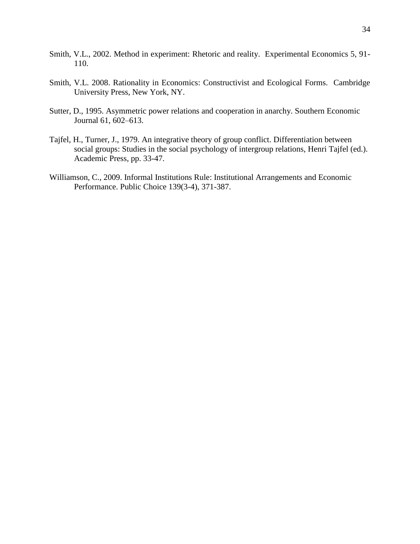- Smith, V.L., 2002. Method in experiment: Rhetoric and reality. Experimental Economics 5, 91- 110.
- Smith, V.L. 2008. Rationality in Economics: Constructivist and Ecological Forms. Cambridge University Press, New York, NY.
- Sutter, D., 1995. Asymmetric power relations and cooperation in anarchy. Southern Economic Journal 61, 602–613.
- Tajfel, H., Turner, J., 1979. An integrative theory of group conflict. Differentiation between social groups: Studies in the social psychology of intergroup relations, Henri Tajfel (ed.). Academic Press, pp. 33-47.
- Williamson, C., 2009. Informal Institutions Rule: Institutional Arrangements and Economic Performance. Public Choice 139(3-4), 371-387.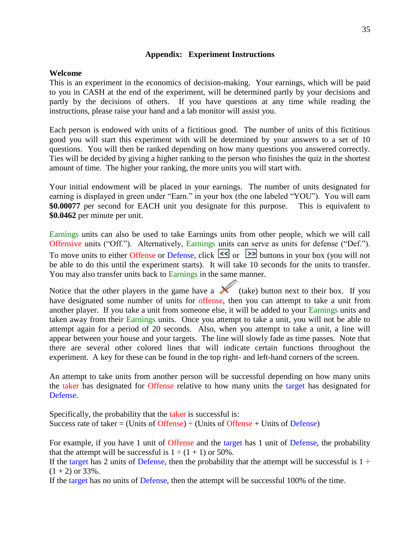# **Appendix: Experiment Instructions**

# **Welcome**

This is an experiment in the economics of decision-making. Your earnings, which will be paid to you in CASH at the end of the experiment, will be determined partly by your decisions and partly by the decisions of others. If you have questions at any time while reading the instructions, please raise your hand and a lab monitor will assist you.

Each person is endowed with units of a fictitious good. The number of units of this fictitious good you will start this experiment with will be determined by your answers to a set of 10 questions. You will then be ranked depending on how many questions you answered correctly. Ties will be decided by giving a higher ranking to the person who finishes the quiz in the shortest amount of time. The higher your ranking, the more units you will start with.

Your initial endowment will be placed in your earnings. The number of units designated for earning is displayed in green under "Earn." in your box (the one labeled "YOU"). You will earn **\$0.00077** per second for EACH unit you designate for this purpose. This is equivalent to **\$0.0462** per minute per unit.

Earnings units can also be used to take Earnings units from other people, which we will call Offensive units ("Off."). Alternatively, Earnings units can serve as units for defense ("Def."). To move units to either Offense or Defense, click  $\leq$  or  $\geq$  buttons in your box (you will not be able to do this until the experiment starts). It will take 10 seconds for the units to transfer. You may also transfer units back to Earnings in the same manner.

Notice that the other players in the game have a  $\mathcal{K}$  (take) button next to their box. If you have designated some number of units for offense, then you can attempt to take a unit from another player. If you take a unit from someone else, it will be added to your Earnings units and taken away from their Earnings units. Once you attempt to take a unit, you will not be able to attempt again for a period of 20 seconds. Also, when you attempt to take a unit, a line will appear between your house and your targets. The line will slowly fade as time passes. Note that there are several other colored lines that will indicate certain functions throughout the experiment. A key for these can be found in the top right- and left-hand corners of the screen.

An attempt to take units from another person will be successful depending on how many units the taker has designated for Offense relative to how many units the target has designated for Defense.

Specifically, the probability that the taker is successful is: Success rate of taker = (Units of Offense)  $\div$  (Units of Offense + Units of Defense)

For example, if you have 1 unit of Offense and the target has 1 unit of Defense, the probability that the attempt will be successful is  $1 \div (1 + 1)$  or 50%.

If the target has 2 units of Defense, then the probability that the attempt will be successful is  $1 \div$  $(1 + 2)$  or 33%.

If the target has no units of Defense, then the attempt will be successful 100% of the time.